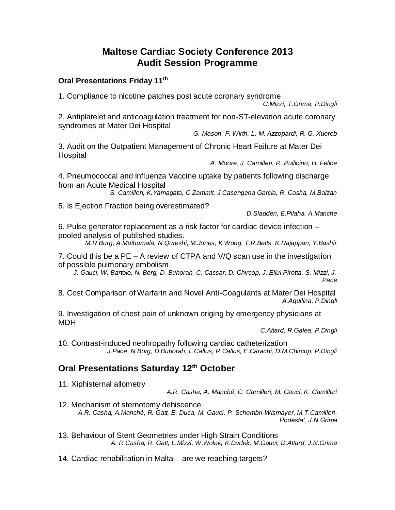## **Maltese Cardiac Society Conference 2013 Audit Session Programme**

## **Oral Presentations Friday 11th**

1. Compliance to nicotine patches post acute coronary syndrome

*C.Mizzi, T.Grima, P.Dingli*

2. Antiplatelet and anticoagulation treatment for non-ST-elevation acute coronary syndromes at Mater Dei Hospital

*G. Mason, F. Wirth, L. M. Azzopardi, R. G. Xuereb*

3. Audit on the Outpatient Management of Chronic Heart Failure at Mater Dei **Hospital** 

*A. Moore, J. Camilleri, R. Pullicino, H. Felice*

4. Pneumococcal and Influenza Vaccine uptake by patients following discharge from an Acute Medical Hospital

*S. Camilleri, K.Yamagata, C.Zammit, J.Casengena Garcia, R. Casha, M.Balzan*

5. Is Ejection Fraction being overestimated?

*D.Sladden, E.Pllaha, A.Manche*

6. Pulse generator replacement as a risk factor for cardiac device infection – pooled analysis of published studies.

*M.R Burg, A.Muthumala, N.Qureshi, M.Jones, K.Wong, T.R.Betts, K.Rajappan, Y.Bashir*

7. Could this be a PE – A review of CTPA and V/Q scan use in the investigation of possible pulmonary embolism

*J. Gauci, W. Bartolo, N. Borg, D. Buhorah, C. Cassar, D. Chircop, J. Ellul Pirotta, S. Mizzi, J. Pace*

8. Cost Comparison of Warfarin and Novel Anti-Coagulants at Mater Dei Hospital *A.Aquilina, P.Dingli*

9. Investigation of chest pain of unknown origing by emergency physicians at MDH

*C.Attard, R.Galea, P.Dingli*

10. Contrast-induced nephropathy following cardiac catheterization *J.Pace, N.Borg, D.Buhorah, L.Callus, R.Callus, E.Carachi, D.M.Chircop, P.Dingli*

## **Oral Presentations Saturday 12th October**

11. Xiphisternal allometry

*A.R. Casha, A. Manché, C. Camilleri, M. Gauci, K. Camilleri*

- 12. Mechanism of sternotomy dehiscence *A.R. Casha, A.Manché, R. Gatt, E. Duca, M. Gauci, P. Schembri-Wismayer, M.T.Camilleri-Podesta', J.N.Grima*
- 13. Behaviour of Stent Geometries under High Strain Conditions *A. R Casha, R. Gatt, L.Mizzi, W.Wolak, K.Dudek, M.Gauci, D.Attard, J.N.Grima*

14. Cardiac rehabilitation in Malta – are we reaching targets?